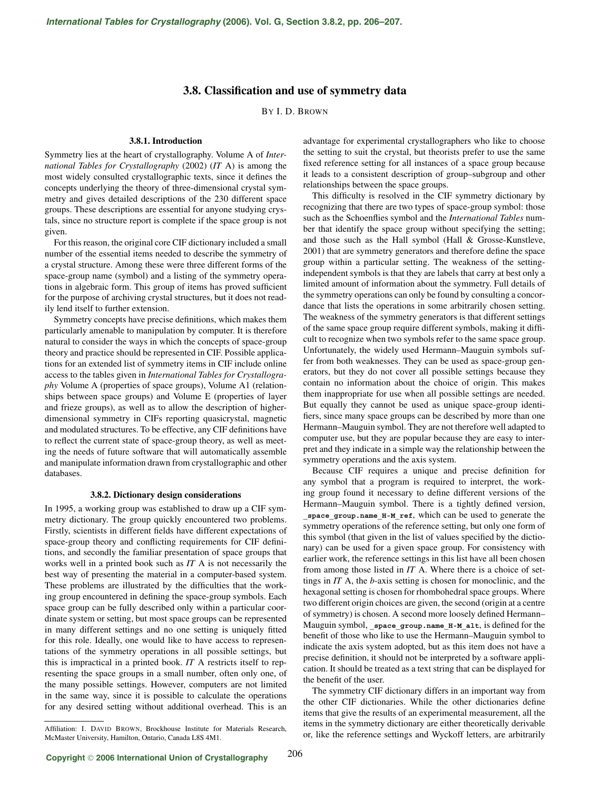## **3.8. Classification and use of symmetry data**

BY I. D. BROWN

## **3.8.1. Introduction**

Symmetry lies at the heart of crystallography. Volume A of *International Tables for Crystallography* (2002) (*IT* A) is among the most widely consulted crystallographic texts, since it defines the concepts underlying the theory of three-dimensional crystal symmetry and gives detailed descriptions of the 230 different space groups. These descriptions are essential for anyone studying crystals, since no structure report is complete if the space group is not given.

For this reason, the original core CIF dictionary included a small number of the essential items needed to describe the symmetry of a crystal structure. Among these were three different forms of the space-group name (symbol) and a listing of the symmetry operations in algebraic form. This group of items has proved sufficient for the purpose of archiving crystal structures, but it does not readily lend itself to further extension.

Symmetry concepts have precise definitions, which makes them particularly amenable to manipulation by computer. It is therefore natural to consider the ways in which the concepts of space-group theory and practice should be represented in CIF. Possible applications for an extended list of symmetry items in CIF include online access to the tables given in *International Tables for Crystallography* Volume A (properties of space groups), Volume A1 (relationships between space groups) and Volume E (properties of layer and frieze groups), as well as to allow the description of higherdimensional symmetry in CIFs reporting quasicrystal, magnetic and modulated structures. To be effective, any CIF definitions have to reflect the current state of space-group theory, as well as meeting the needs of future software that will automatically assemble and manipulate information drawn from crystallographic and other databases.

## **3.8.2. Dictionary design considerations**

In 1995, a working group was established to draw up a CIF symmetry dictionary. The group quickly encountered two problems. Firstly, scientists in different fields have different expectations of space-group theory and conflicting requirements for CIF definitions, and secondly the familiar presentation of space groups that works well in a printed book such as *IT* A is not necessarily the best way of presenting the material in a computer-based system. These problems are illustrated by the difficulties that the working group encountered in defining the space-group symbols. Each space group can be fully described only within a particular coordinate system or setting, but most space groups can be represented in many different settings and no one setting is uniquely fitted for this role. Ideally, one would like to have access to representations of the symmetry operations in all possible settings, but this is impractical in a printed book. *IT* A restricts itself to representing the space groups in a small number, often only one, of the many possible settings. However, computers are not limited in the same way, since it is possible to calculate the operations for any desired setting without additional overhead. This is an

advantage for experimental crystallographers who like to choose the setting to suit the crystal, but theorists prefer to use the same fixed reference setting for all instances of a space group because it leads to a consistent description of group–subgroup and other relationships between the space groups.

This difficulty is resolved in the CIF symmetry dictionary by recognizing that there are two types of space-group symbol: those such as the Schoenflies symbol and the *International Tables* number that identify the space group without specifying the setting; and those such as the Hall symbol (Hall & Grosse-Kunstleve, 2001) that are symmetry generators and therefore define the space group within a particular setting. The weakness of the settingindependent symbols is that they are labels that carry at best only a limited amount of information about the symmetry. Full details of the symmetry operations can only be found by consulting a concordance that lists the operations in some arbitrarily chosen setting. The weakness of the symmetry generators is that different settings of the same space group require different symbols, making it difficult to recognize when two symbols refer to the same space group. Unfortunately, the widely used Hermann–Mauguin symbols suffer from both weaknesses. They can be used as space-group generators, but they do not cover all possible settings because they contain no information about the choice of origin. This makes them inappropriate for use when all possible settings are needed. But equally they cannot be used as unique space-group identifiers, since many space groups can be described by more than one Hermann–Mauguin symbol. They are not therefore well adapted to computer use, but they are popular because they are easy to interpret and they indicate in a simple way the relationship between the symmetry operations and the axis system.

Because CIF requires a unique and precise definition for any symbol that a program is required to interpret, the working group found it necessary to define different versions of the Hermann–Mauguin symbol. There is a tightly defined version, **\_space\_group.name\_H-M\_ref**, which can be used to generate the symmetry operations of the reference setting, but only one form of this symbol (that given in the list of values specified by the dictionary) can be used for a given space group. For consistency with earlier work, the reference settings in this list have all been chosen from among those listed in *IT* A. Where there is a choice of settings in *IT* A, the *b*-axis setting is chosen for monoclinic, and the hexagonal setting is chosen for rhombohedral space groups. Where two different origin choices are given, the second (origin at a centre of symmetry) is chosen. A second more loosely defined Hermann– Mauguin symbol, space group.name H-M alt, is defined for the benefit of those who like to use the Hermann–Mauguin symbol to indicate the axis system adopted, but as this item does not have a precise definition, it should not be interpreted by a software application. It should be treated as a text string that can be displayed for the benefit of the user.

The symmetry CIF dictionary differs in an important way from the other CIF dictionaries. While the other dictionaries define items that give the results of an experimental measurement, all the items in the symmetry dictionary are either theoretically derivable or, like the reference settings and Wyckoff letters, are arbitrarily

Affiliation: I. DAVID BROWN, Brockhouse Institute for Materials Research, McMaster University, Hamilton, Ontario, Canada L8S 4M1.